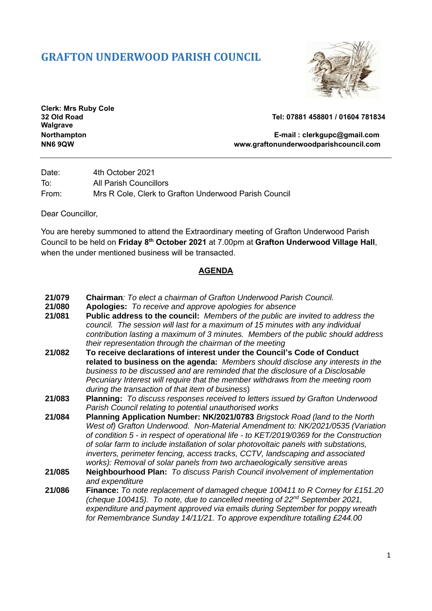## **GRAFTON UNDERWOOD PARISH COUNCIL**



**Clerk: Mrs Ruby Cole Walgrave**

**32 Old Road Tel: 07881 458801 / 01604 781834**

**Northampton E-mail : [clerkgupc@gmail.com](mailto:clerkgupc@gmail.com) NN6 9QW www.graftonunderwoodparishcouncil.com**

Date: 4th October 2021 To: All Parish Councillors From: Mrs R Cole, Clerk to Grafton Underwood Parish Council

Dear Councillor,

You are hereby summoned to attend the Extraordinary meeting of Grafton Underwood Parish Council to be held on **Friday 8th October 2021** at 7.00pm at **Grafton Underwood Village Hall**, when the under mentioned business will be transacted.

## **AGENDA**

- **21/079 Chairman***: To elect a chairman of Grafton Underwood Parish Council.*
- **21/080 Apologies:** *To receive and approve apologies for absence*
- **21/081 Public address to the council:** *Members of the public are invited to address the council. The session will last for a maximum of 15 minutes with any individual contribution lasting a maximum of 3 minutes. Members of the public should address their representation through the chairman of the meeting*
- **21/082 To receive declarations of interest under the Council's Code of Conduct related to business on the agenda:** *Members should disclose any interests in the business to be discussed and are reminded that the disclosure of a Disclosable Pecuniary Interest will require that the member withdraws from the meeting room during the transaction of that item of business*)
- **21/083 Planning:** *To discuss responses received to letters issued by Grafton Underwood Parish Council relating to potential unauthorised works*
- **21/084 Planning Application Number: NK/2021/0783** *Brigstock Road (land to the North West of) Grafton Underwood. Non-Material Amendment to: NK/2021/0535 (Variation of condition 5 - in respect of operational life - to KET/2019/0369 for the Construction of solar farm to include installation of solar photovoltaic panels with substations, inverters, perimeter fencing, access tracks, CCTV, landscaping and associated works): Removal of solar panels from two archaeologically sensitive areas*
- **21/085 Neighbourhood Plan:** *To discuss Parish Council involvement of implementation and expenditure*
- **21/086 Finance:** *To note replacement of damaged cheque 100411 to R Corney for £151.20 (cheque 100415). To note, due to cancelled meeting of 22nd September 2021, expenditure and payment approved via emails during September for poppy wreath for Remembrance Sunday 14/11/21. To approve expenditure totalling £244.00*